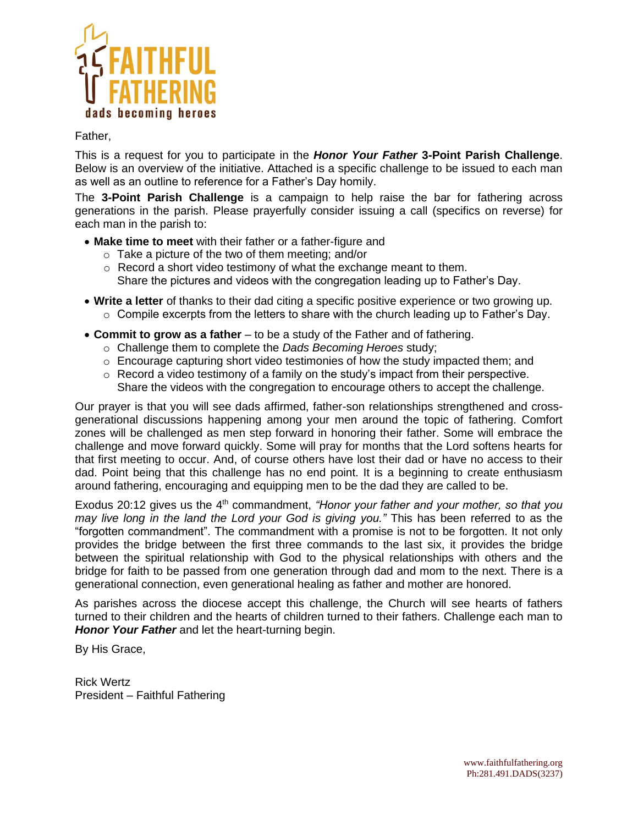

# Father,

This is a request for you to participate in the *Honor Your Father* **3-Point Parish Challenge**. Below is an overview of the initiative. Attached is a specific challenge to be issued to each man as well as an outline to reference for a Father's Day homily.

The **3-Point Parish Challenge** is a campaign to help raise the bar for fathering across generations in the parish. Please prayerfully consider issuing a call (specifics on reverse) for each man in the parish to:

- **Make time to meet** with their father or a father-figure and
	- o Take a picture of the two of them meeting; and/or
	- o Record a short video testimony of what the exchange meant to them. Share the pictures and videos with the congregation leading up to Father's Day.
- **Write a letter** of thanks to their dad citing a specific positive experience or two growing up.
	- $\circ$  Compile excerpts from the letters to share with the church leading up to Father's Day.
- **Commit to grow as a father** to be a study of the Father and of fathering.
	- o Challenge them to complete the *Dads Becoming Heroes* study;
	- $\circ$  Encourage capturing short video testimonies of how the study impacted them; and
	- $\circ$  Record a video testimony of a family on the study's impact from their perspective. Share the videos with the congregation to encourage others to accept the challenge.

Our prayer is that you will see dads affirmed, father-son relationships strengthened and crossgenerational discussions happening among your men around the topic of fathering. Comfort zones will be challenged as men step forward in honoring their father. Some will embrace the challenge and move forward quickly. Some will pray for months that the Lord softens hearts for that first meeting to occur. And, of course others have lost their dad or have no access to their dad. Point being that this challenge has no end point. It is a beginning to create enthusiasm around fathering, encouraging and equipping men to be the dad they are called to be.

Exodus 20:12 gives us the 4<sup>th</sup> commandment, *"Honor your father and your mother, so that you may live long in the land the Lord your God is giving you."* This has been referred to as the "forgotten commandment". The commandment with a promise is not to be forgotten. It not only provides the bridge between the first three commands to the last six, it provides the bridge between the spiritual relationship with God to the physical relationships with others and the bridge for faith to be passed from one generation through dad and mom to the next. There is a generational connection, even generational healing as father and mother are honored.

As parishes across the diocese accept this challenge, the Church will see hearts of fathers turned to their children and the hearts of children turned to their fathers. Challenge each man to *Honor Your Father* and let the heart-turning begin.

By His Grace,

Rick Wertz President – Faithful Fathering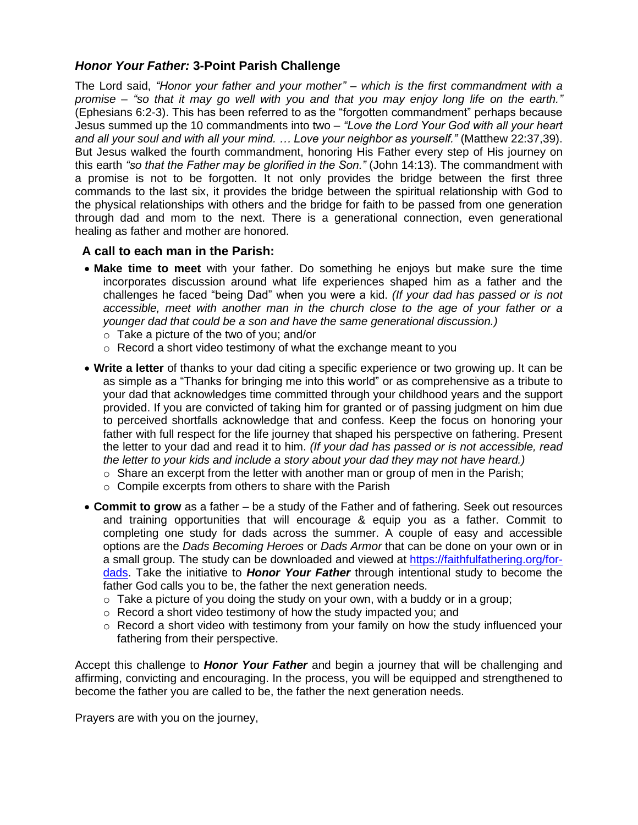# *Honor Your Father:* **3-Point Parish Challenge**

The Lord said, *"Honor your father and your mother" – which is the first commandment with a promise – "so that it may go well with you and that you may enjoy long life on the earth."* (Ephesians 6:2-3). This has been referred to as the "forgotten commandment" perhaps because Jesus summed up the 10 commandments into two – *"Love the Lord Your God with all your heart and all your soul and with all your mind. … Love your neighbor as yourself."* (Matthew 22:37,39). But Jesus walked the fourth commandment, honoring His Father every step of His journey on this earth *"so that the Father may be glorified in the Son."* (John 14:13). The commandment with a promise is not to be forgotten. It not only provides the bridge between the first three commands to the last six, it provides the bridge between the spiritual relationship with God to the physical relationships with others and the bridge for faith to be passed from one generation through dad and mom to the next. There is a generational connection, even generational healing as father and mother are honored.

#### **A call to each man in the Parish:**

- **Make time to meet** with your father. Do something he enjoys but make sure the time incorporates discussion around what life experiences shaped him as a father and the challenges he faced "being Dad" when you were a kid. *(If your dad has passed or is not accessible, meet with another man in the church close to the age of your father or a younger dad that could be a son and have the same generational discussion.)*
	- o Take a picture of the two of you; and/or
	- o Record a short video testimony of what the exchange meant to you
- **Write a letter** of thanks to your dad citing a specific experience or two growing up. It can be as simple as a "Thanks for bringing me into this world" or as comprehensive as a tribute to your dad that acknowledges time committed through your childhood years and the support provided. If you are convicted of taking him for granted or of passing judgment on him due to perceived shortfalls acknowledge that and confess. Keep the focus on honoring your father with full respect for the life journey that shaped his perspective on fathering. Present the letter to your dad and read it to him. *(If your dad has passed or is not accessible, read the letter to your kids and include a story about your dad they may not have heard.)*
	- $\circ$  Share an excerpt from the letter with another man or group of men in the Parish;
	- $\circ$  Compile excerpts from others to share with the Parish
- **Commit to grow** as a father be a study of the Father and of fathering. Seek out resources and training opportunities that will encourage & equip you as a father. Commit to completing one study for dads across the summer. A couple of easy and accessible options are the *Dads Becoming Heroes* or *Dads Armor* that can be done on your own or in a small group. The study can be downloaded and viewed at [https://faithfulfathering.org/for](https://faithfulfathering.org/for-dads)[dads.](https://faithfulfathering.org/for-dads) Take the initiative to *Honor Your Father* through intentional study to become the father God calls you to be, the father the next generation needs.
	- $\circ$  Take a picture of you doing the study on your own, with a buddy or in a group;
	- o Record a short video testimony of how the study impacted you; and
	- $\circ$  Record a short video with testimony from your family on how the study influenced your fathering from their perspective.

Accept this challenge to *Honor Your Father* and begin a journey that will be challenging and affirming, convicting and encouraging. In the process, you will be equipped and strengthened to become the father you are called to be, the father the next generation needs.

Prayers are with you on the journey,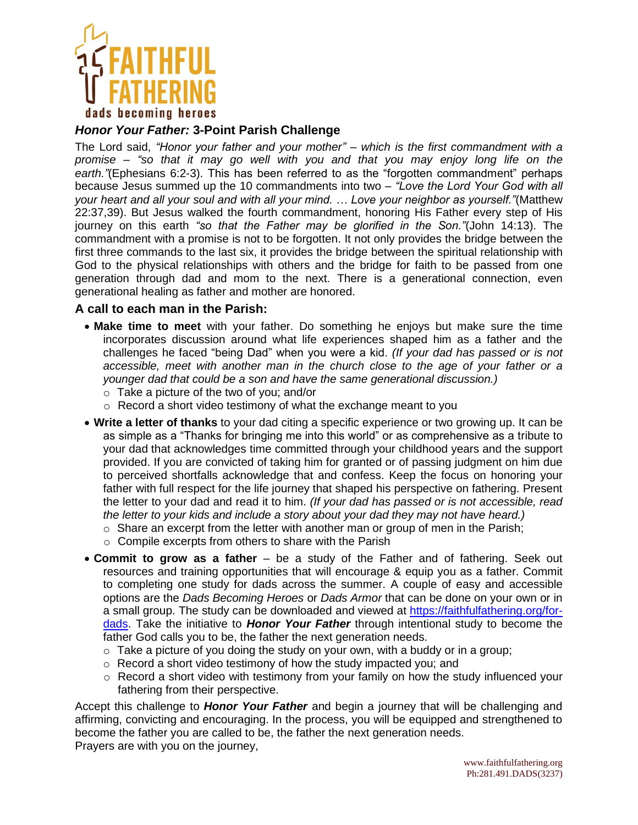

# *Honor Your Father:* **3-Point Parish Challenge**

The Lord said, *"Honor your father and your mother" – which is the first commandment with a promise – "so that it may go well with you and that you may enjoy long life on the earth."*(Ephesians 6:2-3). This has been referred to as the "forgotten commandment" perhaps because Jesus summed up the 10 commandments into two – *"Love the Lord Your God with all your heart and all your soul and with all your mind. … Love your neighbor as yourself."*(Matthew 22:37,39). But Jesus walked the fourth commandment, honoring His Father every step of His journey on this earth *"so that the Father may be glorified in the Son."*(John 14:13). The commandment with a promise is not to be forgotten. It not only provides the bridge between the first three commands to the last six, it provides the bridge between the spiritual relationship with God to the physical relationships with others and the bridge for faith to be passed from one generation through dad and mom to the next. There is a generational connection, even generational healing as father and mother are honored.

#### **A call to each man in the Parish:**

- **Make time to meet** with your father. Do something he enjoys but make sure the time incorporates discussion around what life experiences shaped him as a father and the challenges he faced "being Dad" when you were a kid. *(If your dad has passed or is not accessible, meet with another man in the church close to the age of your father or a younger dad that could be a son and have the same generational discussion.)*
	- o Take a picture of the two of you; and/or
	- o Record a short video testimony of what the exchange meant to you
- **Write a letter of thanks** to your dad citing a specific experience or two growing up. It can be as simple as a "Thanks for bringing me into this world" or as comprehensive as a tribute to your dad that acknowledges time committed through your childhood years and the support provided. If you are convicted of taking him for granted or of passing judgment on him due to perceived shortfalls acknowledge that and confess. Keep the focus on honoring your father with full respect for the life journey that shaped his perspective on fathering. Present the letter to your dad and read it to him. *(If your dad has passed or is not accessible, read the letter to your kids and include a story about your dad they may not have heard.)*
	- $\circ$  Share an excerpt from the letter with another man or group of men in the Parish;
	- o Compile excerpts from others to share with the Parish
- **Commit to grow as a father** be a study of the Father and of fathering. Seek out resources and training opportunities that will encourage & equip you as a father. Commit to completing one study for dads across the summer. A couple of easy and accessible options are the *Dads Becoming Heroes* or *Dads Armor* that can be done on your own or in a small group. The study can be downloaded and viewed at [https://faithfulfathering.org/for](https://faithfulfathering.org/for-dads)[dads.](https://faithfulfathering.org/for-dads) Take the initiative to *Honor Your Father* through intentional study to become the father God calls you to be, the father the next generation needs.
	- $\circ$  Take a picture of you doing the study on your own, with a buddy or in a group;
	- o Record a short video testimony of how the study impacted you; and
	- $\circ$  Record a short video with testimony from your family on how the study influenced your fathering from their perspective.

Accept this challenge to *Honor Your Father* and begin a journey that will be challenging and affirming, convicting and encouraging. In the process, you will be equipped and strengthened to become the father you are called to be, the father the next generation needs. Prayers are with you on the journey,